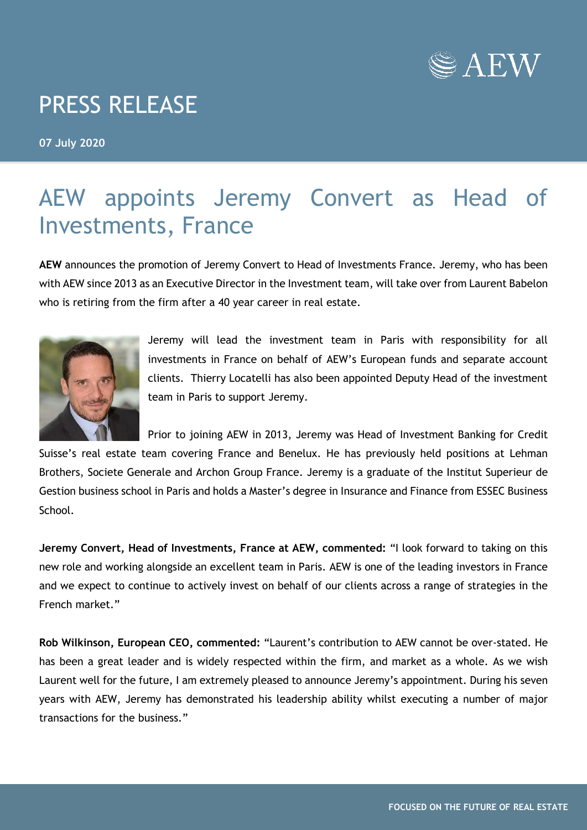

## PRESS RELEASE

**07 July 2020**

## AEW appoints Jeremy Convert as Head of Investments, France

**AEW** announces the promotion of Jeremy Convert to Head of Investments France. Jeremy, who has been with AEW since 2013 as an Executive Director in the Investment team, will take over from Laurent Babelon who is retiring from the firm after a 40 year career in real estate.



Jeremy will lead the investment team in Paris with responsibility for all investments in France on behalf of AEW's European funds and separate account clients. Thierry Locatelli has also been appointed Deputy Head of the investment team in Paris to support Jeremy.

Prior to joining AEW in 2013, Jeremy was Head of Investment Banking for Credit Suisse's real estate team covering France and Benelux. He has previously held positions at Lehman Brothers, Societe Generale and Archon Group France. Jeremy is a graduate of the Institut Superieur de Gestion business school in Paris and holds a Master's degree in Insurance and Finance from ESSEC Business School.

**Jeremy Convert, Head of Investments, France at AEW, commented:** "I look forward to taking on this new role and working alongside an excellent team in Paris. AEW is one of the leading investors in France and we expect to continue to actively invest on behalf of our clients across a range of strategies in the French market."

**Rob Wilkinson, European CEO, commented:** "Laurent's contribution to AEW cannot be over-stated. He has been a great leader and is widely respected within the firm, and market as a whole. As we wish Laurent well for the future, I am extremely pleased to announce Jeremy's appointment. During his seven years with AEW, Jeremy has demonstrated his leadership ability whilst executing a number of major transactions for the business."